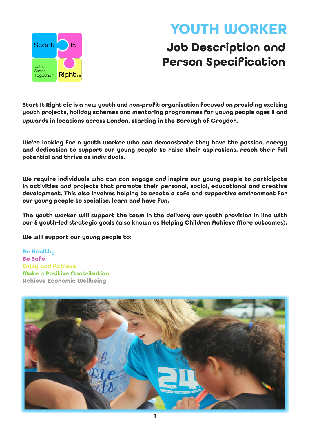

# **YOUTH WORKER**

## **Job Description and Person Specification**

**Start It Right cic is a new youth and non-profit organisation focused on providing exciting youth projects, holiday schemes and mentoring programmes for young people ages 8 and upwards in locations across London, starting in the Borough of Croydon.** 

**We're looking for a youth worker who can demonstrate they have the passion, energy and dedication to support our young people to raise their aspirations, reach their full potential and thrive as individuals.** 

**We require individuals who can can engage and inspire our young people to participate in activities and projects that promote their personal, social, educational and creative development. This also involves helping to create a safe and supportive environment for our young people to socialise, learn and have fun.** 

**The youth worker will support the team in the delivery our youth provision in line with our 5 youth-led strategic goals (also known as Helping Children Achieve More outcomes).**

**We will support our young people to:**

**Be Healthy Be Safe Enjoy and Achieve Make a Positive Contribution Achieve Economic Wellbeing** 

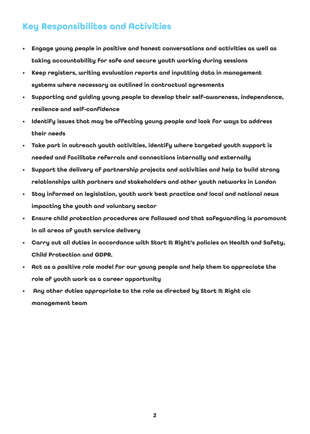### **Key Responsibilites and Activities**

- **• Engage young people in positive and honest conversations and activities as well as taking accountability for safe and secure youth working during sessions**
- **• Keep registers, writing evaluation reports and inputting data in management systems where necessary as outlined in contractual agreements**
- **• Supporting and guiding young people to develop their self-awareness, independence, resilence and self-confidence**
- **• Identify issues that may be affecting young people and look for ways to address their needs**
- **• Take part in outreach youth activities, identify where targeted youth support is needed and facilitate referrals and connections internally and externally**
- **• Support the delivery of partnership projects and activities and help to build strong relationships with partners and stakeholders and other youth networks in London**
- **• Stay informed on legislation, youth work best practice and local and national news impacting the youth and voluntary sector**
- **• Ensure child protection procedures are followed and that safeguarding is paramount in all areas of youth service delivery**
- **• Carry out all duties in accordance with Start It Right's policies on Health and Safety, Child Protection and GDPR.**
- **• Act as a positive role model for our young people and help them to appreciate the role of youth work as a career opportunity**
- **Any other duties appropriate to the role as directed by Start It Right cic management team**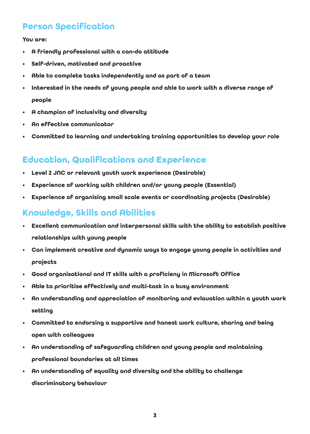#### **Person Specification**

**You are:**

- **• A friendly professional with a can-do attitude**
- **• Self-driven, motivated and proactive**
- **• Able to complete tasks independently and as part of a team**
- **• Interested in the needs of young people and able to work with a diverse range of people**
- **• A champion of inclusivity and diversity**
- **• An effective communicator**
- **• Committed to learning and undertaking training opportunities to develop your role**

#### **Education, Qualifications and Experience**

- **• Level 2 JNC or relevant youth work experience (Desirable)**
- **• Experience of working with children and/or young people (Essential)**
- **• Experience of organising small scale events or coordinating projects (Desirable)**

#### **Knowledge, Skills and Abilities**

- **• Excellent communication and interpersonal skills with the ability to establish positive relationships with young people**
- **• Can implement creative and dynamic ways to engage young people in activities and projects**
- **• Good organisational and IT skills with a proficieny in Microsoft Office**
- **• Able to prioritise effectively and multi-task in a busy environment**
- **• An understanding and appreciation of monitoring and evlauation within a youth work setting**
- **• Committed to endorsing a supportive and honest work culture, sharing and being open with colleagues**
- **• An understanding of safeguarding children and young people and maintaining professional boundaries at all times**
- **• An understanding of equality and diversity and the ability to challenge discriminatory behaviour**